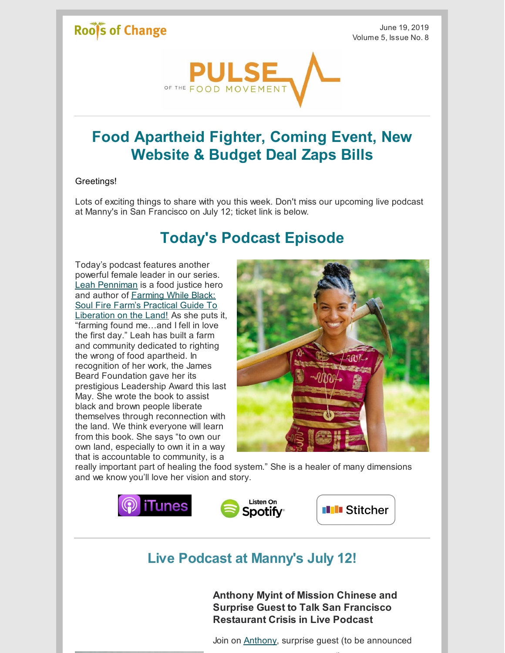### Roof's of Change

June 19, 2019 Volume 5, Issue No. 8



# **Food Apartheid Fighter, Coming Event, New Website & Budget Deal Zaps Bills**

#### Greetings!

Lots of exciting things to share with you this week. Don't miss our upcoming live podcast at Manny's in San Francisco on July 12; ticket link is below.

# **Today's Podcast Episode**

Today's podcast features another powerful female leader in our series. Leah [Penniman](http://www.soulfirefarm.org/meet-the-farmers/) is a food justice hero and author of **Farming While Black:** Soul Fire Farm's Practical Guide To [Liberation](https://www.amazon.com/Farming-While-Black-Practical-Liberation/dp/1603587616) on the Land! As she puts it, "farming found me…and I fell in love the first day." Leah has built a farm and community dedicated to righting the wrong of food apartheid. In recognition of her work, the James Beard Foundation gave her its prestigious Leadership Award this last May. She wrote the book to assist black and brown people liberate themselves through reconnection with the land. We think everyone will learn from this book. She says "to own our own land, especially to own it in a way that is accountable to community, is a



really important part of healing the food system." She is a healer of many dimensions and we know you'll love her vision and story.



### **Live Podcast at Manny's July 12!**

**Anthony Myint of Mission Chinese and Surprise Guest to Talk San Francisco Restaurant Crisis in Live Podcast**

Join on **[Anthony](https://en.wikipedia.org/wiki/Anthony_Myint)**, surprise guest (to be announced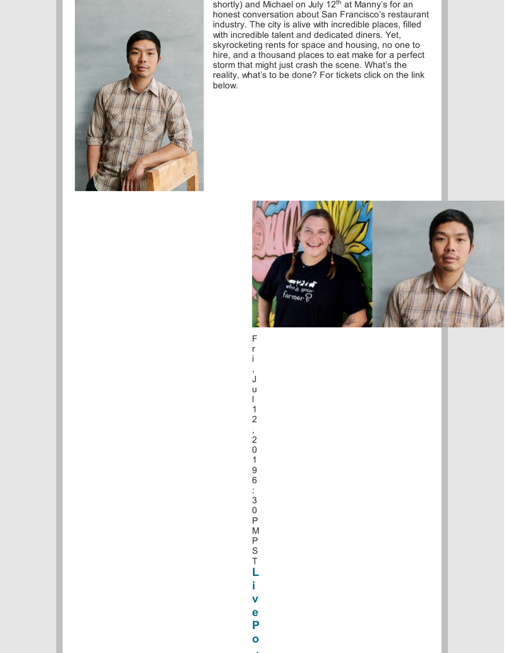

shortly) and Michael on July 12<sup>th</sup> at Manny's for an honest conversation about San Francisco's restaurant industry. The city is alive with incredible places, filled with incredible talent and dedicated diners. Yet, skyrocketing rents for space and housing, no one to hire, and a thousand places to eat make for a perfect storm that might just crash the scene. What's the reality, what's to be done? For tickets click on the link below.



r i , J u l 1 2 , 2 0 1 9 6 : 3 0 P M P S T **L i v e P o d**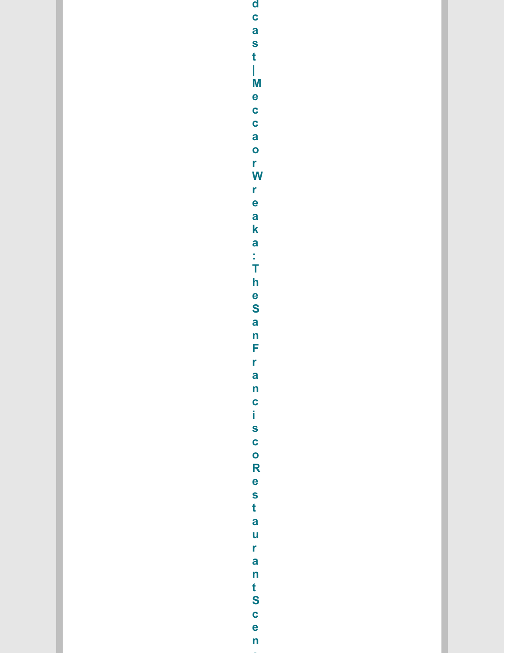d c a s<br>t |<br>M e c c a<br>O c a<br>V  $\frac{r}{e}$ aka:Thesa n<br>F r<br>a n c i s c o R e s<br>t<br>a urant Scen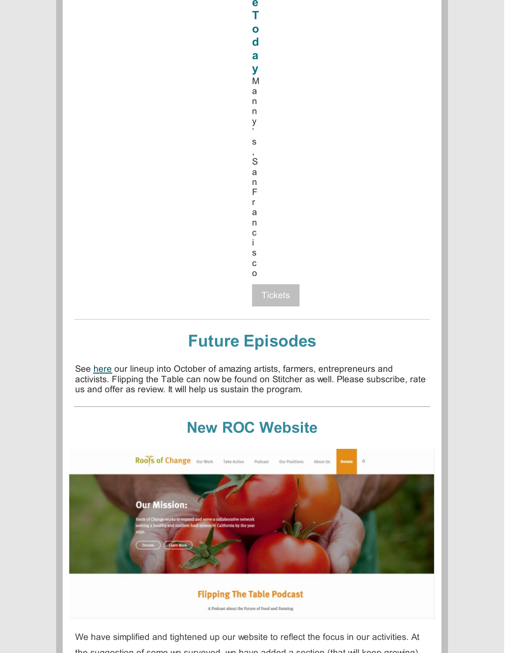### **e T o d a y** M a n n y ' s , S a n F r a n c i s c o

# **Future Episodes**

See [here](https://www.rootsofchange.org/podcast/upcoming-episodes/) our lineup into October of amazing artists, farmers, entrepreneurs and activists. Flipping the Table can now be found on Stitcher as well. Please subscribe, rate us and offer as review. It will help us sustain the program.



the suggestion of some we surveyed, we have added a section (that will keep growing)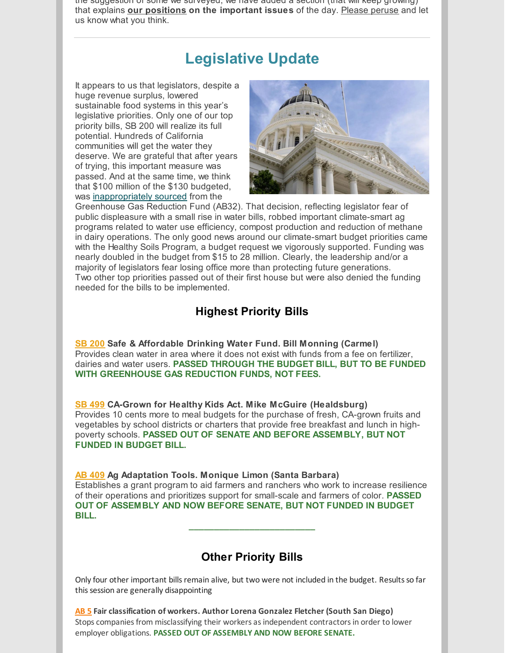the suggestion of some we surveyed, we have added a section (that will keep growing) that explains **our [positions](https://www.rootsofchange.org/our-positions/) on the important issues** of the day. Please [peruse](https://www.rootsofchange.org/our-positions/) and let us know what you think.

# **Legislative Update**

It appears to us that legislators, despite a huge revenue surplus, lowered sustainable food systems in this year's legislative priorities. Only one of our top priority bills, SB 200 will realize its full potential. Hundreds of California communities will get the water they deserve. We are grateful that after years of trying, this important measure was passed. And at the same time, we think that \$100 million of the \$130 budgeted, was [inappropriately](https://calmatters.org/articles/california-clean-drinking-water-funding-greenhouse-gas-fund-climate-change/) sourced from the



Greenhouse Gas Reduction Fund (AB32). That decision, reflecting legislator fear of public displeasure with a small rise in water bills, robbed important climate-smart ag programs related to water use efficiency, compost production and reduction of methane in dairy operations. The only good news around our climate-smart budget priorities came with the Healthy Soils Program, a budget request we vigorously supported. Funding was nearly doubled in the budget from \$15 to 28 million. Clearly, the leadership and/or a majority of legislators fear losing office more than protecting future generations. Two other top priorities passed out of their first house but were also denied the funding needed for the bills to be implemented.

### **Highest Priority Bills**

**SB [200](https://leginfo.legislature.ca.gov/faces/billTextClient.xhtml?bill_id=201920200SB200) Safe & Affordable Drinking Water Fund. Bill Monning (Carmel)** Provides clean water in area where it does not exist with funds from a fee on fertilizer, dairies and water users. **PASSED THROUGH THE BUDGET BILL, BUT TO BE FUNDED WITH GREENHOUSE GAS REDUCTION FUNDS, NOT FEES.**

**SB [499](https://leginfo.legislature.ca.gov/faces/billNavClient.xhtml?bill_id=201920200SB499) CA-Grown for Healthy Kids Act. Mike McGuire (Healdsburg)** Provides 10 cents more to meal budgets for the purchase of fresh, CA-grown fruits and vegetables by school districts or charters that provide free breakfast and lunch in highpoverty schools. **PASSED OUT OF SENATE AND BEFORE ASSEMBLY, BUT NOT FUNDED IN BUDGET BILL.**

#### **AB [409](https://leginfo.legislature.ca.gov/faces/billNavClient.xhtml?bill_id=201920200AB409) Ag Adaptation Tools. Monique Limon (Santa Barbara)**

Establishes a grant program to aid farmers and ranchers who work to increase resilience of their operations and prioritizes support for small-scale and farmers of color. **PASSED OUT OF ASSEMBLY AND NOW BEFORE SENATE, BUT NOT FUNDED IN BUDGET BILL.**

**\_\_\_\_\_\_\_\_\_\_\_\_\_\_\_\_\_\_\_\_\_\_\_\_\_**

### **Other Priority Bills**

Only four other important bills remain alive, but two were not included in the budget. Results so far this session are generally disappointing

**[AB](https://leginfo.legislature.ca.gov/faces/billTextClient.xhtml?bill_id=201920200AB5) 5 Fair classification of workers. Author Lorena Gonzalez Fletcher (South San Diego)** Stops companies from misclassifying their workers as independent contractors in order to lower employer obligations. **PASSED OUT OF ASSEMBLY AND NOW BEFORE SENATE.**